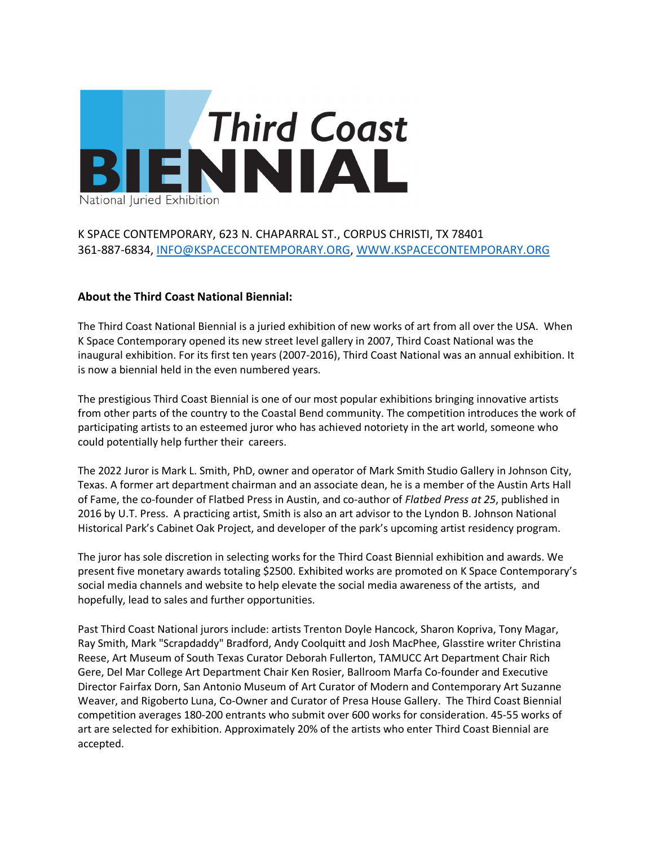

# K SPACE CONTEMPORARY, 623 N. CHAPARRAL ST., CORPUS CHRISTI, TX 78401 361-887-6834, INFO@KSPACECONTEMPORARY.ORG, WWW.KSPACECONTEMPORARY.ORG

## **About the Third Coast National Biennial:**

The Third Coast National Biennial is a juried exhibition of new works of art from all over the USA. When K Space Contemporary opened its new street level gallery in 2007, Third Coast National was the inaugural exhibition. For its first ten years (2007-2016), Third Coast National was an annual exhibition. It is now a biennial held in the even numbered years.

The prestigious Third Coast Biennial is one of our most popular exhibitions bringing innovative artists from other parts of the country to the Coastal Bend community. The competition introduces the work of participating artists to an esteemed juror who has achieved notoriety in the art world, someone who could potentially help further their careers.

The 2022 Juror is Mark L. Smith, PhD, owner and operator of Mark Smith Studio Gallery in Johnson City, Texas. A former art department chairman and an associate dean, he is a member of the Austin Arts Hall of Fame, the co-founder of Flatbed Press in Austin, and co-author of *Flatbed Press at 25*, published in 2016 by U.T. Press. A practicing artist, Smith is also an art advisor to the Lyndon B. Johnson National Historical Park's Cabinet Oak Project, and developer of the park's upcoming artist residency program.

The juror has sole discretion in selecting works for the Third Coast Biennial exhibition and awards. We present five monetary awards totaling \$2500. Exhibited works are promoted on K Space Contemporary's social media channels and website to help elevate the social media awareness of the artists, and hopefully, lead to sales and further opportunities.

Past Third Coast National jurors include: artists Trenton Doyle Hancock, Sharon Kopriva, Tony Magar, Ray Smith, Mark "Scrapdaddy" Bradford, Andy Coolquitt and Josh MacPhee, Glasstire writer Christina Reese, Art Museum of South Texas Curator Deborah Fullerton, TAMUCC Art Department Chair Rich Gere, Del Mar College Art Department Chair Ken Rosier, Ballroom Marfa Co-founder and Executive Director Fairfax Dorn, San Antonio Museum of Art Curator of Modern and Contemporary Art Suzanne Weaver, and Rigoberto Luna, Co-Owner and Curator of Presa House Gallery. The Third Coast Biennial competition averages 180-200 entrants who submit over 600 works for consideration. 45-55 works of art are selected for exhibition. Approximately 20% of the artists who enter Third Coast Biennial are accepted.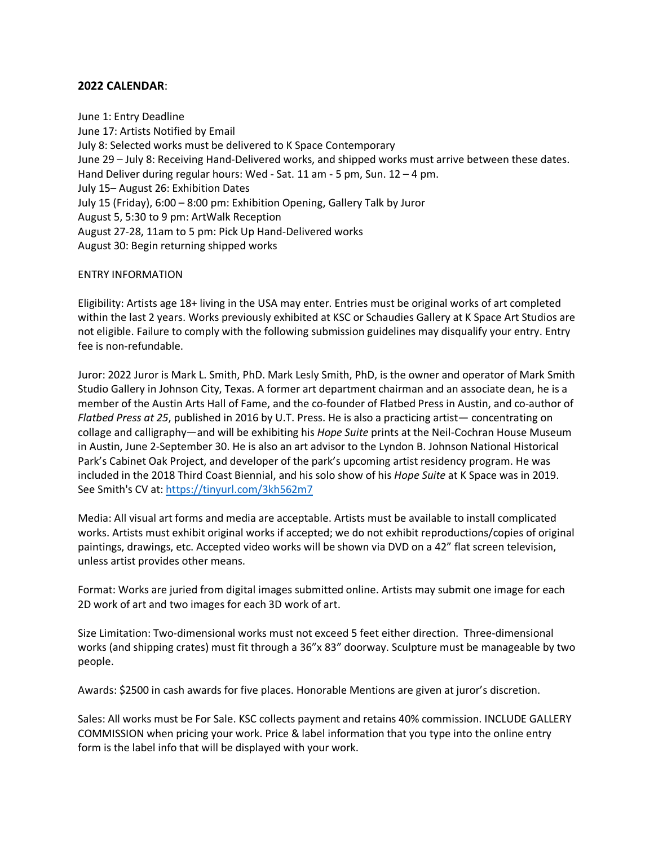## **2022 CALENDAR**:

June 1: Entry Deadline June 17: Artists Notified by Email July 8: Selected works must be delivered to K Space Contemporary June 29 – July 8: Receiving Hand-Delivered works, and shipped works must arrive between these dates. Hand Deliver during regular hours: Wed - Sat. 11 am - 5 pm, Sun. 12 – 4 pm. July 15– August 26: Exhibition Dates July 15 (Friday), 6:00 – 8:00 pm: Exhibition Opening, Gallery Talk by Juror August 5, 5:30 to 9 pm: ArtWalk Reception August 27-28, 11am to 5 pm: Pick Up Hand-Delivered works August 30: Begin returning shipped works

#### ENTRY INFORMATION

Eligibility: Artists age 18+ living in the USA may enter. Entries must be original works of art completed within the last 2 years. Works previously exhibited at KSC or Schaudies Gallery at K Space Art Studios are not eligible. Failure to comply with the following submission guidelines may disqualify your entry. Entry fee is non-refundable.

Juror: 2022 Juror is Mark L. Smith, PhD. Mark Lesly Smith, PhD, is the owner and operator of Mark Smith Studio Gallery in Johnson City, Texas. A former art department chairman and an associate dean, he is a member of the Austin Arts Hall of Fame, and the co-founder of Flatbed Press in Austin, and co-author of *Flatbed Press at 25*, published in 2016 by U.T. Press. He is also a practicing artist— concentrating on collage and calligraphy—and will be exhibiting his *Hope Suite* prints at the Neil-Cochran House Museum in Austin, June 2-September 30. He is also an art advisor to the Lyndon B. Johnson National Historical Park's Cabinet Oak Project, and developer of the park's upcoming artist residency program. He was included in the 2018 Third Coast Biennial, and his solo show of his *Hope Suite* at K Space was in 2019. See Smith's CV at: https://tinyurl.com/3kh562m7

Media: All visual art forms and media are acceptable. Artists must be available to install complicated works. Artists must exhibit original works if accepted; we do not exhibit reproductions/copies of original paintings, drawings, etc. Accepted video works will be shown via DVD on a 42" flat screen television, unless artist provides other means.

Format: Works are juried from digital images submitted online. Artists may submit one image for each 2D work of art and two images for each 3D work of art.

Size Limitation: Two-dimensional works must not exceed 5 feet either direction. Three-dimensional works (and shipping crates) must fit through a 36"x 83" doorway. Sculpture must be manageable by two people.

Awards: \$2500 in cash awards for five places. Honorable Mentions are given at juror's discretion.

Sales: All works must be For Sale. KSC collects payment and retains 40% commission. INCLUDE GALLERY COMMISSION when pricing your work. Price & label information that you type into the online entry form is the label info that will be displayed with your work.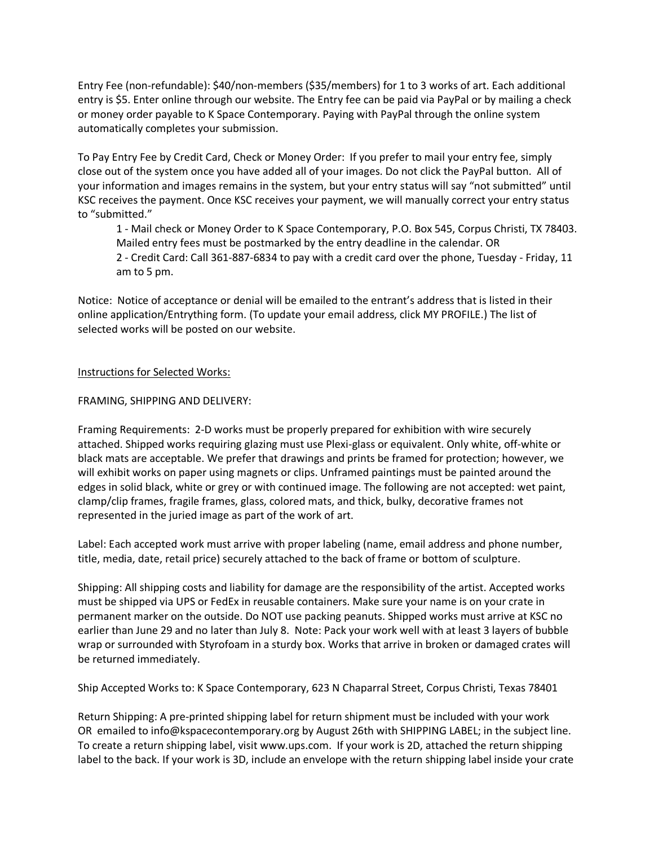Entry Fee (non-refundable): \$40/non-members (\$35/members) for 1 to 3 works of art. Each additional entry is \$5. Enter online through our website. The Entry fee can be paid via PayPal or by mailing a check or money order payable to K Space Contemporary. Paying with PayPal through the online system automatically completes your submission.

To Pay Entry Fee by Credit Card, Check or Money Order: If you prefer to mail your entry fee, simply close out of the system once you have added all of your images. Do not click the PayPal button. All of your information and images remains in the system, but your entry status will say "not submitted" until KSC receives the payment. Once KSC receives your payment, we will manually correct your entry status to "submitted."

1 - Mail check or Money Order to K Space Contemporary, P.O. Box 545, Corpus Christi, TX 78403. Mailed entry fees must be postmarked by the entry deadline in the calendar. OR

2 - Credit Card: Call 361-887-6834 to pay with a credit card over the phone, Tuesday - Friday, 11 am to 5 pm.

Notice: Notice of acceptance or denial will be emailed to the entrant's address that is listed in their online application/Entrything form. (To update your email address, click MY PROFILE.) The list of selected works will be posted on our website.

## Instructions for Selected Works:

### FRAMING, SHIPPING AND DELIVERY:

Framing Requirements: 2-D works must be properly prepared for exhibition with wire securely attached. Shipped works requiring glazing must use Plexi-glass or equivalent. Only white, off-white or black mats are acceptable. We prefer that drawings and prints be framed for protection; however, we will exhibit works on paper using magnets or clips. Unframed paintings must be painted around the edges in solid black, white or grey or with continued image. The following are not accepted: wet paint, clamp/clip frames, fragile frames, glass, colored mats, and thick, bulky, decorative frames not represented in the juried image as part of the work of art.

Label: Each accepted work must arrive with proper labeling (name, email address and phone number, title, media, date, retail price) securely attached to the back of frame or bottom of sculpture.

Shipping: All shipping costs and liability for damage are the responsibility of the artist. Accepted works must be shipped via UPS or FedEx in reusable containers. Make sure your name is on your crate in permanent marker on the outside. Do NOT use packing peanuts. Shipped works must arrive at KSC no earlier than June 29 and no later than July 8. Note: Pack your work well with at least 3 layers of bubble wrap or surrounded with Styrofoam in a sturdy box. Works that arrive in broken or damaged crates will be returned immediately.

Ship Accepted Works to: K Space Contemporary, 623 N Chaparral Street, Corpus Christi, Texas 78401

Return Shipping: A pre-printed shipping label for return shipment must be included with your work OR emailed to info@kspacecontemporary.org by August 26th with SHIPPING LABEL; in the subject line. To create a return shipping label, visit www.ups.com. If your work is 2D, attached the return shipping label to the back. If your work is 3D, include an envelope with the return shipping label inside your crate